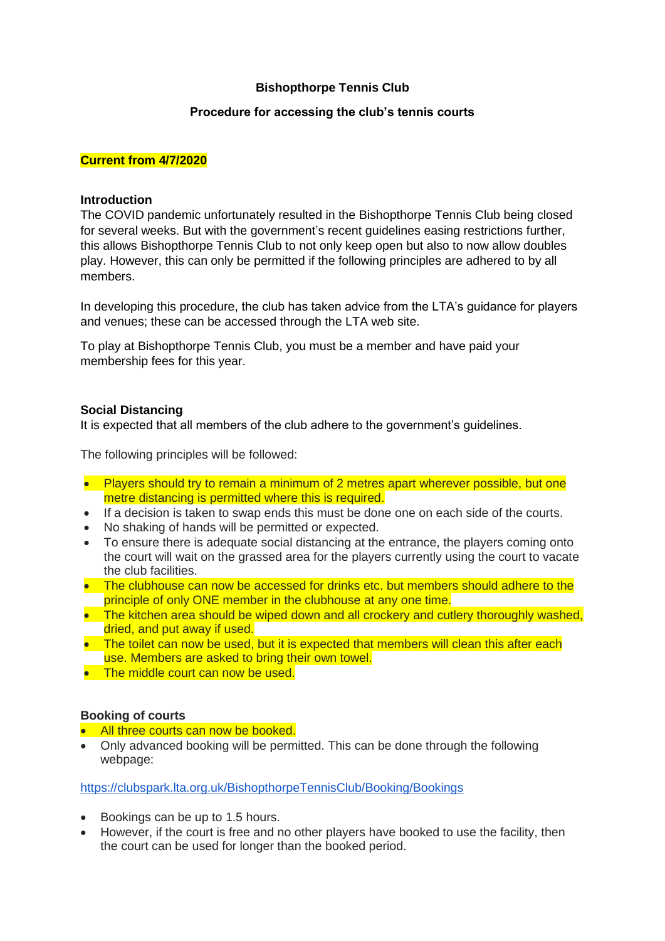# **Bishopthorpe Tennis Club**

## **Procedure for accessing the club's tennis courts**

### **Current from 4/7/2020**

#### **Introduction**

The COVID pandemic unfortunately resulted in the Bishopthorpe Tennis Club being closed for several weeks. But with the government's recent guidelines easing restrictions further, this allows Bishopthorpe Tennis Club to not only keep open but also to now allow doubles play. However, this can only be permitted if the following principles are adhered to by all members.

In developing this procedure, the club has taken advice from the LTA's guidance for players and venues; these can be accessed through the LTA web site.

To play at Bishopthorpe Tennis Club, you must be a member and have paid your membership fees for this year.

### **Social Distancing**

It is expected that all members of the club adhere to the government's guidelines.

The following principles will be followed:

- Players should try to remain a minimum of 2 metres apart wherever possible, but one metre distancing is permitted where this is required.
- If a decision is taken to swap ends this must be done one on each side of the courts.
- No shaking of hands will be permitted or expected.
- To ensure there is adequate social distancing at the entrance, the players coming onto the court will wait on the grassed area for the players currently using the court to vacate the club facilities.
- The clubhouse can now be accessed for drinks etc. but members should adhere to the principle of only ONE member in the clubhouse at any one time.
- The kitchen area should be wiped down and all crockery and cutlery thoroughly washed, dried, and put away if used.
- The toilet can now be used, but it is expected that members will clean this after each use. Members are asked to bring their own towel.
- The middle court can now be used.

#### **Booking of courts**

- All three courts can now be booked.
- Only advanced booking will be permitted. This can be done through the following webpage:

<https://clubspark.lta.org.uk/BishopthorpeTennisClub/Booking/Bookings>

- Bookings can be up to 1.5 hours.
- However, if the court is free and no other players have booked to use the facility, then the court can be used for longer than the booked period.